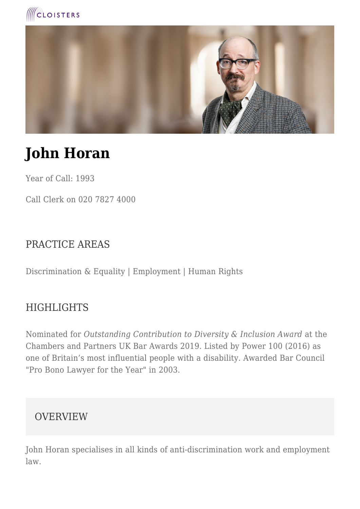



# **John Horan**

Year of Call: 1993

Call Clerk on 020 7827 4000

### PRACTICE AREAS

Discrimination & Equality | Employment | Human Rights

#### HIGHLIGHTS

Nominated for *Outstanding Contribution to Diversity & Inclusion Award* at the Chambers and Partners UK Bar Awards 2019. Listed by Power 100 (2016) as one of Britain's most influential people with a disability. Awarded Bar Council "Pro Bono Lawyer for the Year" in 2003.

#### **OVERVIEW**

John Horan specialises in all kinds of anti-discrimination work and employment law.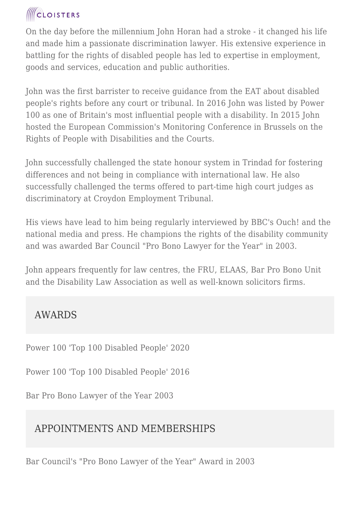## **ICLOISTERS**

On the day before the millennium John Horan had a stroke - it changed his life and made him a passionate discrimination lawyer. His extensive experience in battling for the rights of disabled people has led to expertise in employment, goods and services, education and public authorities.

John was the first barrister to receive guidance from the EAT about disabled people's rights before any court or tribunal. In 2016 John was listed by Power 100 as one of Britain's most influential people with a disability. In 2015 John hosted the European Commission's Monitoring Conference in Brussels on the Rights of People with Disabilities and the Courts.

John successfully challenged the state honour system in Trindad for fostering differences and not being in compliance with international law. He also successfully challenged the terms offered to part-time high court judges as discriminatory at Croydon Employment Tribunal.

His views have lead to him being regularly interviewed by BBC's Ouch! and the national media and press. He champions the rights of the disability community and was awarded Bar Council "Pro Bono Lawyer for the Year" in 2003.

John appears frequently for law centres, the FRU, ELAAS, Bar Pro Bono Unit and the Disability Law Association as well as well-known solicitors firms.

## AWARDS

Power 100 'Top 100 Disabled People' 2020

Power 100 'Top 100 Disabled People' 2016

Bar Pro Bono Lawyer of the Year 2003

## APPOINTMENTS AND MEMBERSHIPS

Bar Council's "Pro Bono Lawyer of the Year" Award in 2003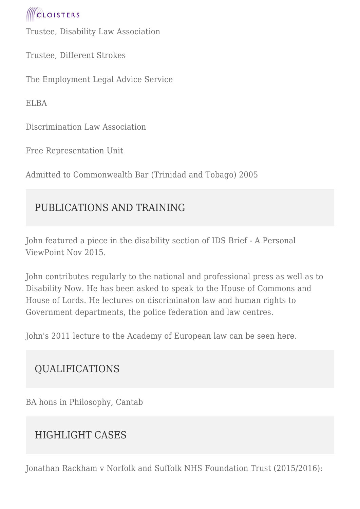

Trustee, Disability Law Association

Trustee, Different Strokes

The Employment Legal Advice Service

ELBA

Discrimination Law Association

Free Representation Unit

Admitted to Commonwealth Bar (Trinidad and Tobago) 2005

## PUBLICATIONS AND TRAINING

John featured a piece in the disability section of IDS Brief - A Personal ViewPoint Nov 2015.

John contributes regularly to the national and professional press as well as to Disability Now. He has been asked to speak to the House of Commons and House of Lords. He lectures on discriminaton law and human rights to Government departments, the police federation and law centres.

John's 2011 lecture to the Academy of European law can be seen here.

## QUALIFICATIONS

BA hons in Philosophy, Cantab

## HIGHLIGHT CASES

Jonathan Rackham v Norfolk and Suffolk NHS Foundation Trust (2015/2016):